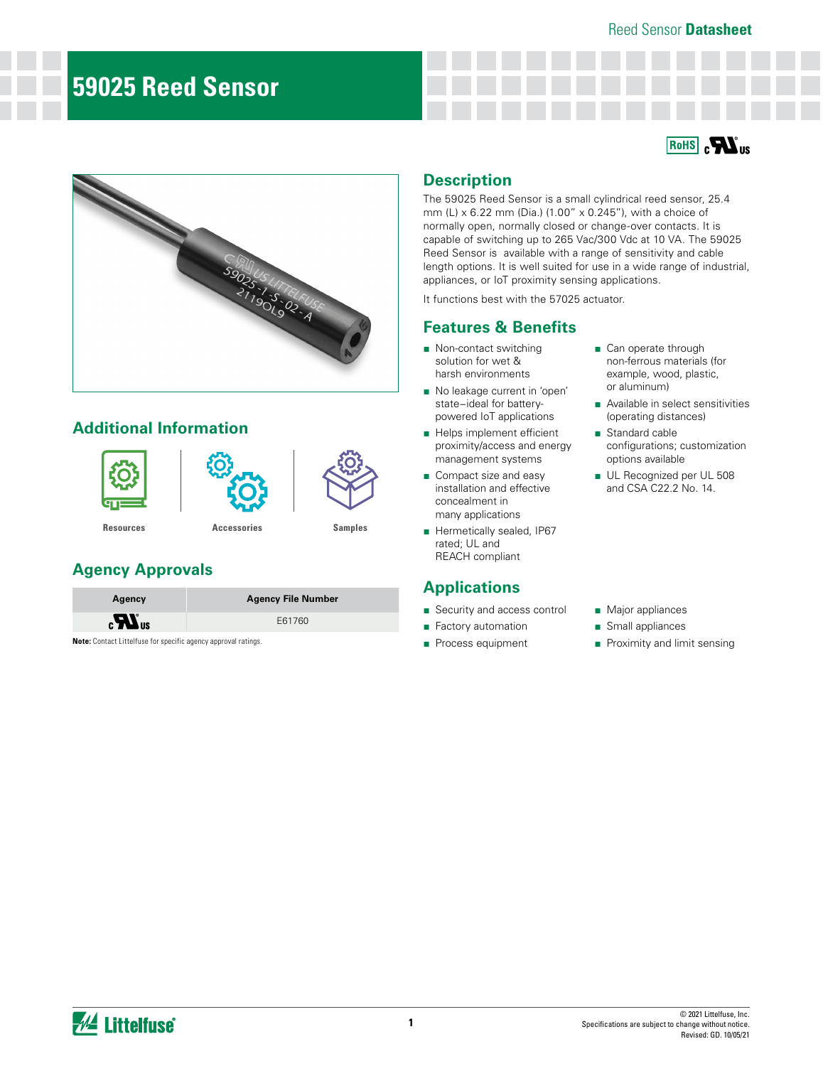### Reed Sensor **Datasheet**

# **59025 Reed Sensor**

### **RoHS** RIG



## **Additional Information**







**[Resources](https://www.littelfuse.com/products/magnetic-sensors-and-reed-switches/reed-sensors/59025.aspx#TechnicalResources) [Accessories](https://www.littelfuse.com/products/magnetic-sensors-and-reed-switches/magnetic-actuators/57025.aspx) [Samples](https://www.littelfuse.com/products/magnetic-sensors-and-reed-switches/reed-sensors/59025.aspx#)**

## **Agency Approvals**

| Agency                         | <b>Agency File Number</b> |
|--------------------------------|---------------------------|
| $\boldsymbol{H}$ <sub>us</sub> | E61760                    |
|                                |                           |

**Note:** Contact Littelfuse for specific agency approval ratings.

### **Description**

The 59025 Reed Sensor is a small cylindrical reed sensor, 25.4 mm (L) x 6.22 mm (Dia.) (1.00" x 0.245"), with a choice of normally open, normally closed or change-over contacts. It is capable of switching up to 265 Vac/300 Vdc at 10 VA. The 59025 Reed Sensor is available with a range of sensitivity and cable length options. It is well suited for use in a wide range of industrial, appliances, or IoT proximity sensing applications.

It functions best with the 57025 actuator.

### **Features & Benefits**

- Non-contact switching solution for wet & harsh environments
- No leakage current in 'open' state−ideal for batterypowered IoT applications
- Helps implement efficient proximity/access and energy management systems
- Compact size and easy installation and effective concealment in many applications
- Hermetically sealed, IP67 rated; UL and REACH compliant

### **Applications**

- Security and access control
- Factory automation
- Process equipment
- Can operate through non-ferrous materials (for example, wood, plastic, or aluminum)
- Available in select sensitivities (operating distances)
- Standard cable configurations; customization options available
- UL Recognized per UL 508 and CSA C22.2 No. 14.

- Major appliances
- Small appliances
- Proximity and limit sensing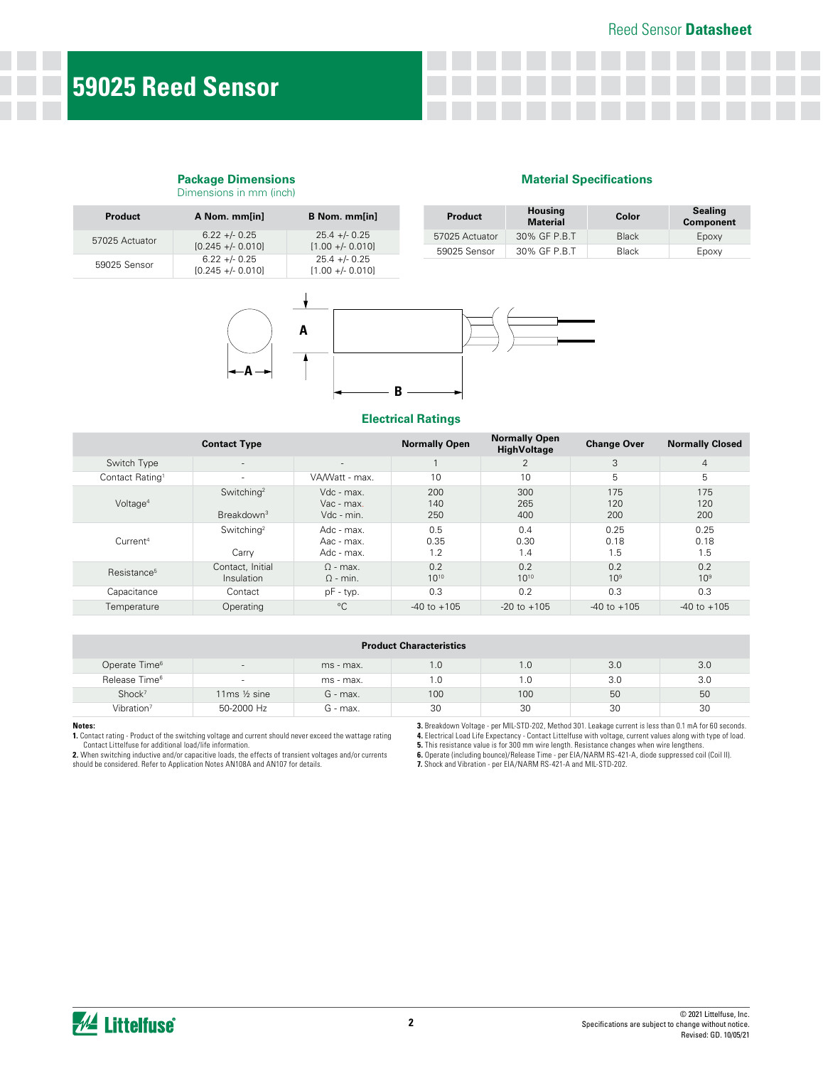#### **Package Dimensions** Dimensions in mm (inch)

#### **Material Specifications**

| <b>Product</b> | A Nom. mm[in]                        | B Nom. mm[in]                         |  | <b>Product</b> | <b>Housing</b><br><b>Material</b> | Color        | <b>Sealing</b><br><b>Component</b> |
|----------------|--------------------------------------|---------------------------------------|--|----------------|-----------------------------------|--------------|------------------------------------|
| 57025 Actuator | $6.22 + 0.25$                        | $25.4 + - 0.25$<br>$[1.00 + - 0.010]$ |  | 57025 Actuator | 30% GF P.B.T                      | <b>Black</b> | Epoxy                              |
|                | $[0.245 + - 0.010]$                  |                                       |  | 59025 Sensor   | 30% GF P.B.T                      | <b>Black</b> | Epoxy                              |
| 59025 Sensor   | $6.22 + 0.25$<br>$[0.245 + - 0.010]$ | $25.4 + - 0.25$<br>$[1.00 + - 0.010]$ |  |                |                                   |              |                                    |



#### **Electrical Ratings**

|                             | <b>Contact Type</b>                              |                                        | <b>Normally Open</b> | <b>Normally Open</b><br><b>HighVoltage</b> | <b>Change Over</b>     | <b>Normally Closed</b> |
|-----------------------------|--------------------------------------------------|----------------------------------------|----------------------|--------------------------------------------|------------------------|------------------------|
| Switch Type                 | $\sim$                                           | $\sim$                                 |                      | 2                                          | 3                      | $\overline{4}$         |
| Contact Rating <sup>1</sup> | $\sim$                                           | VA/Watt - max.                         | 10                   | 10                                         | 5                      | 5                      |
| Voltage <sup>4</sup>        | Switching <sup>2</sup><br>Breakdown <sup>3</sup> | Vdc - max.<br>Vac - max.<br>Vdc - min. | 200<br>140<br>250    | 300<br>265<br>400                          | 175<br>120<br>200      | 175<br>120<br>200      |
| Current <sup>4</sup>        | Switching <sup>2</sup><br>Carry                  | Adc - max.<br>Aac - max.<br>Adc - max. | 0.5<br>0.35<br>1.2   | 0.4<br>0.30<br>1.4                         | 0.25<br>0.18<br>1.5    | 0.25<br>0.18<br>1.5    |
| Resistance <sup>5</sup>     | Contact, Initial<br>Insulation                   | $\Omega$ - max.<br>$\Omega$ - min.     | 0.2<br>$10^{10}$     | 0.2<br>$10^{10}$                           | 0.2<br>10 <sup>9</sup> | 0.2<br>10 <sup>9</sup> |
| Capacitance                 | Contact                                          | pF - typ.                              | 0.3                  | 0.2                                        | 0.3                    | 0.3                    |
| Temperature                 | Operating                                        | $^{\circ}$ C                           | $-40$ to $+105$      | $-20$ to $+105$                            | $-40$ to $+105$        | $-40$ to $+105$        |

| <b>Product Characteristics</b> |                          |            |     |     |     |     |
|--------------------------------|--------------------------|------------|-----|-----|-----|-----|
| Operate Time <sup>6</sup>      | $\overline{\phantom{a}}$ | ms - max.  | 1.0 | 1.0 | 3.0 | 3.0 |
| Release Time <sup>6</sup>      |                          | ms - max.  | 1.0 | 1.0 | 3.0 | 3.0 |
| Shock <sup>7</sup>             | 11 $ms \frac{1}{2} sine$ | $G$ - max. | 100 | 100 | 50  | 50  |
| Vibration <sup>7</sup>         | 50-2000 Hz               | $G$ - max. | 30  | 30  | 30  | 30  |

#### **Notes:**

**1.** Contact rating - Product of the switching voltage and current should never exceed the wattage rating

Contact Littelfuse for additional load/life information.<br>2. When switching inductive and/or capacitive loads, the effects of transient voltages and/or currents<br>should be considered. Refer to Application Notes AN108A and AN

**3.** Breakdown Voltage - per MIL-STD-202, Method 301. Leakage current is less than 0.1 mA for 60 seconds.

4. Electrical Load Life Expectancy - Contact Littelfuse with voltage, current values along with type of load.<br>5. This resistance value is for 300 mm wire length. Resistance changes when wire lengthens.<br>6. Operate (includin